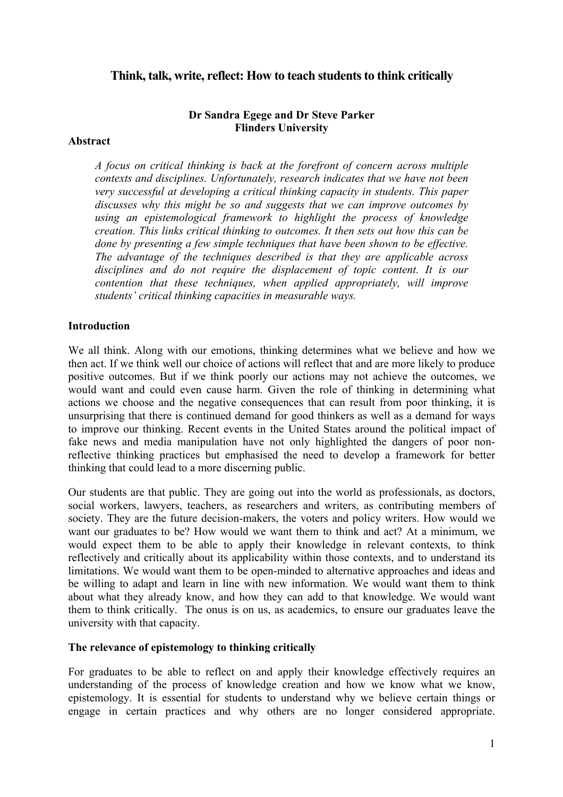# **Think, talk, write, reflect: How to teach students to think critically**

### **Dr Sandra Egege and Dr Steve Parker Flinders University**

### **Abstract**

*A focus on critical thinking is back at the forefront of concern across multiple contexts and disciplines. Unfortunately, research indicates that we have not been very successful at developing a critical thinking capacity in students. This paper discusses why this might be so and suggests that we can improve outcomes by using an epistemological framework to highlight the process of knowledge creation. This links critical thinking to outcomes. It then sets out how this can be done by presenting a few simple techniques that have been shown to be effective. The advantage of the techniques described is that they are applicable across disciplines and do not require the displacement of topic content. It is our contention that these techniques, when applied appropriately, will improve students' critical thinking capacities in measurable ways.* 

### **Introduction**

We all think. Along with our emotions, thinking determines what we believe and how we then act. If we think well our choice of actions will reflect that and are more likely to produce positive outcomes. But if we think poorly our actions may not achieve the outcomes, we would want and could even cause harm. Given the role of thinking in determining what actions we choose and the negative consequences that can result from poor thinking, it is unsurprising that there is continued demand for good thinkers as well as a demand for ways to improve our thinking. Recent events in the United States around the political impact of fake news and media manipulation have not only highlighted the dangers of poor nonreflective thinking practices but emphasised the need to develop a framework for better thinking that could lead to a more discerning public.

Our students are that public. They are going out into the world as professionals, as doctors, social workers, lawyers, teachers, as researchers and writers, as contributing members of society. They are the future decision-makers, the voters and policy writers. How would we want our graduates to be? How would we want them to think and act? At a minimum, we would expect them to be able to apply their knowledge in relevant contexts, to think reflectively and critically about its applicability within those contexts, and to understand its limitations. We would want them to be open-minded to alternative approaches and ideas and be willing to adapt and learn in line with new information. We would want them to think about what they already know, and how they can add to that knowledge. We would want them to think critically. The onus is on us, as academics, to ensure our graduates leave the university with that capacity.

### **The relevance of epistemology to thinking critically**

For graduates to be able to reflect on and apply their knowledge effectively requires an understanding of the process of knowledge creation and how we know what we know, epistemology. It is essential for students to understand why we believe certain things or engage in certain practices and why others are no longer considered appropriate.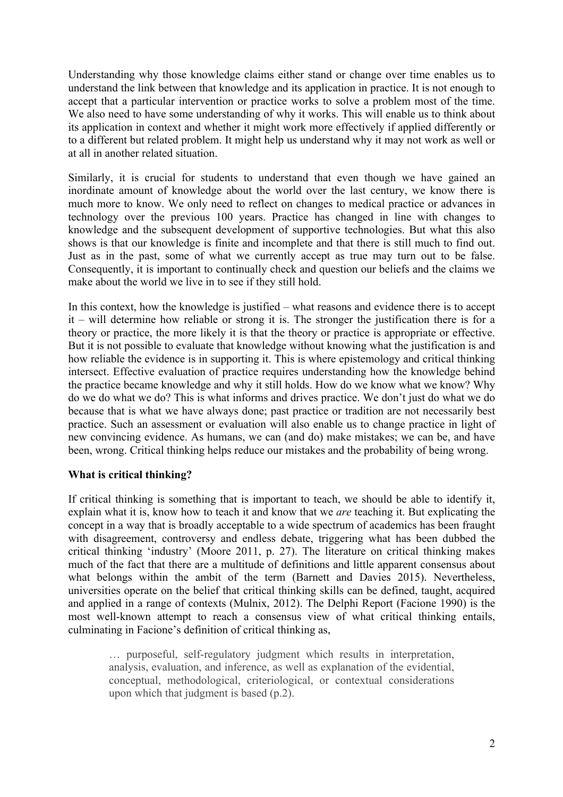Understanding why those knowledge claims either stand or change over time enables us to understand the link between that knowledge and its application in practice. It is not enough to accept that a particular intervention or practice works to solve a problem most of the time. We also need to have some understanding of why it works. This will enable us to think about its application in context and whether it might work more effectively if applied differently or to a different but related problem. It might help us understand why it may not work as well or at all in another related situation.

Similarly, it is crucial for students to understand that even though we have gained an inordinate amount of knowledge about the world over the last century, we know there is much more to know. We only need to reflect on changes to medical practice or advances in technology over the previous 100 years. Practice has changed in line with changes to knowledge and the subsequent development of supportive technologies. But what this also shows is that our knowledge is finite and incomplete and that there is still much to find out. Just as in the past, some of what we currently accept as true may turn out to be false. Consequently, it is important to continually check and question our beliefs and the claims we make about the world we live in to see if they still hold.

In this context, how the knowledge is justified – what reasons and evidence there is to accept it – will determine how reliable or strong it is. The stronger the justification there is for a theory or practice, the more likely it is that the theory or practice is appropriate or effective. But it is not possible to evaluate that knowledge without knowing what the justification is and how reliable the evidence is in supporting it. This is where epistemology and critical thinking intersect. Effective evaluation of practice requires understanding how the knowledge behind the practice became knowledge and why it still holds. How do we know what we know? Why do we do what we do? This is what informs and drives practice. We don't just do what we do because that is what we have always done; past practice or tradition are not necessarily best practice. Such an assessment or evaluation will also enable us to change practice in light of new convincing evidence. As humans, we can (and do) make mistakes; we can be, and have been, wrong. Critical thinking helps reduce our mistakes and the probability of being wrong.

## **What is critical thinking?**

If critical thinking is something that is important to teach, we should be able to identify it, explain what it is, know how to teach it and know that we *are* teaching it. But explicating the concept in a way that is broadly acceptable to a wide spectrum of academics has been fraught with disagreement, controversy and endless debate, triggering what has been dubbed the critical thinking 'industry' (Moore 2011, p. 27). The literature on critical thinking makes much of the fact that there are a multitude of definitions and little apparent consensus about what belongs within the ambit of the term (Barnett and Davies 2015). Nevertheless, universities operate on the belief that critical thinking skills can be defined, taught, acquired and applied in a range of contexts (Mulnix, 2012). The Delphi Report (Facione 1990) is the most well-known attempt to reach a consensus view of what critical thinking entails, culminating in Facione's definition of critical thinking as,

… purposeful, self-regulatory judgment which results in interpretation, analysis, evaluation, and inference, as well as explanation of the evidential, conceptual, methodological, criteriological, or contextual considerations upon which that judgment is based (p.2).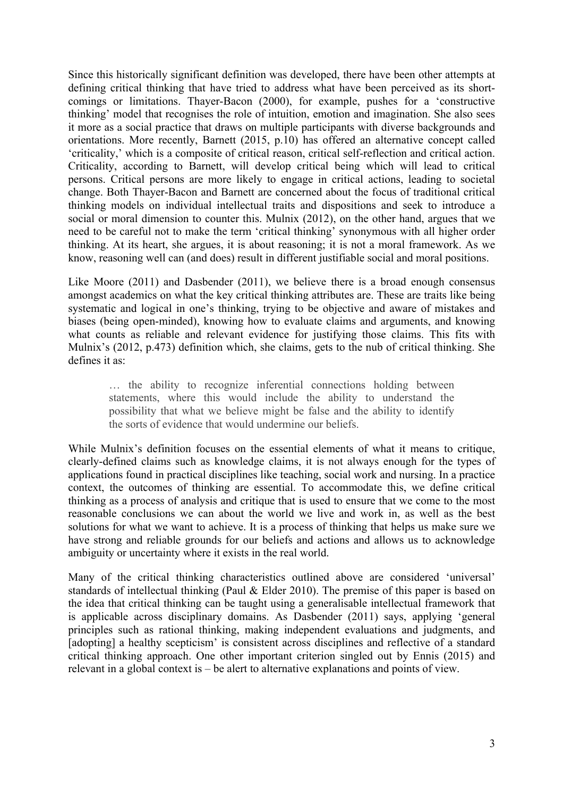Since this historically significant definition was developed, there have been other attempts at defining critical thinking that have tried to address what have been perceived as its shortcomings or limitations. Thayer-Bacon (2000), for example, pushes for a 'constructive thinking' model that recognises the role of intuition, emotion and imagination. She also sees it more as a social practice that draws on multiple participants with diverse backgrounds and orientations. More recently, Barnett (2015, p.10) has offered an alternative concept called 'criticality,' which is a composite of critical reason, critical self-reflection and critical action. Criticality, according to Barnett, will develop critical being which will lead to critical persons. Critical persons are more likely to engage in critical actions, leading to societal change. Both Thayer-Bacon and Barnett are concerned about the focus of traditional critical thinking models on individual intellectual traits and dispositions and seek to introduce a social or moral dimension to counter this. Mulnix (2012), on the other hand, argues that we need to be careful not to make the term 'critical thinking' synonymous with all higher order thinking. At its heart, she argues, it is about reasoning; it is not a moral framework. As we know, reasoning well can (and does) result in different justifiable social and moral positions.

Like Moore (2011) and Dasbender (2011), we believe there is a broad enough consensus amongst academics on what the key critical thinking attributes are. These are traits like being systematic and logical in one's thinking, trying to be objective and aware of mistakes and biases (being open-minded), knowing how to evaluate claims and arguments, and knowing what counts as reliable and relevant evidence for justifying those claims. This fits with Mulnix's (2012, p.473) definition which, she claims, gets to the nub of critical thinking. She defines it as:

… the ability to recognize inferential connections holding between statements, where this would include the ability to understand the possibility that what we believe might be false and the ability to identify the sorts of evidence that would undermine our beliefs.

While Mulnix's definition focuses on the essential elements of what it means to critique, clearly-defined claims such as knowledge claims, it is not always enough for the types of applications found in practical disciplines like teaching, social work and nursing. In a practice context, the outcomes of thinking are essential. To accommodate this, we define critical thinking as a process of analysis and critique that is used to ensure that we come to the most reasonable conclusions we can about the world we live and work in, as well as the best solutions for what we want to achieve. It is a process of thinking that helps us make sure we have strong and reliable grounds for our beliefs and actions and allows us to acknowledge ambiguity or uncertainty where it exists in the real world.

Many of the critical thinking characteristics outlined above are considered 'universal' standards of intellectual thinking (Paul & Elder 2010). The premise of this paper is based on the idea that critical thinking can be taught using a generalisable intellectual framework that is applicable across disciplinary domains. As Dasbender (2011) says, applying 'general principles such as rational thinking, making independent evaluations and judgments, and [adopting] a healthy scepticism' is consistent across disciplines and reflective of a standard critical thinking approach. One other important criterion singled out by Ennis (2015) and relevant in a global context is – be alert to alternative explanations and points of view.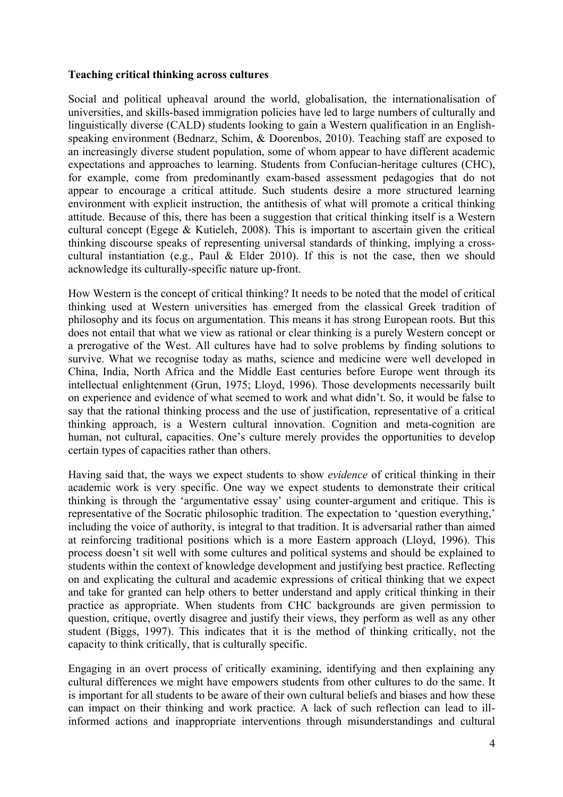### **Teaching critical thinking across cultures**

Social and political upheaval around the world, globalisation, the internationalisation of universities, and skills-based immigration policies have led to large numbers of culturally and linguistically diverse (CALD) students looking to gain a Western qualification in an Englishspeaking environment (Bednarz, Schim, & Doorenbos, 2010). Teaching staff are exposed to an increasingly diverse student population, some of whom appear to have different academic expectations and approaches to learning. Students from Confucian-heritage cultures (CHC), for example, come from predominantly exam-based assessment pedagogies that do not appear to encourage a critical attitude. Such students desire a more structured learning environment with explicit instruction, the antithesis of what will promote a critical thinking attitude. Because of this, there has been a suggestion that critical thinking itself is a Western cultural concept (Egege & Kutieleh, 2008). This is important to ascertain given the critical thinking discourse speaks of representing universal standards of thinking, implying a crosscultural instantiation (e.g., Paul & Elder 2010). If this is not the case, then we should acknowledge its culturally-specific nature up-front.

How Western is the concept of critical thinking? It needs to be noted that the model of critical thinking used at Western universities has emerged from the classical Greek tradition of philosophy and its focus on argumentation. This means it has strong European roots. But this does not entail that what we view as rational or clear thinking is a purely Western concept or a prerogative of the West. All cultures have had to solve problems by finding solutions to survive. What we recognise today as maths, science and medicine were well developed in China, India, North Africa and the Middle East centuries before Europe went through its intellectual enlightenment (Grun, 1975; Lloyd, 1996). Those developments necessarily built on experience and evidence of what seemed to work and what didn't. So, it would be false to say that the rational thinking process and the use of justification, representative of a critical thinking approach, is a Western cultural innovation. Cognition and meta-cognition are human, not cultural, capacities. One's culture merely provides the opportunities to develop certain types of capacities rather than others.

Having said that, the ways we expect students to show *evidence* of critical thinking in their academic work is very specific. One way we expect students to demonstrate their critical thinking is through the 'argumentative essay' using counter-argument and critique. This is representative of the Socratic philosophic tradition. The expectation to 'question everything,' including the voice of authority, is integral to that tradition. It is adversarial rather than aimed at reinforcing traditional positions which is a more Eastern approach (Lloyd, 1996). This process doesn't sit well with some cultures and political systems and should be explained to students within the context of knowledge development and justifying best practice. Reflecting on and explicating the cultural and academic expressions of critical thinking that we expect and take for granted can help others to better understand and apply critical thinking in their practice as appropriate. When students from CHC backgrounds are given permission to question, critique, overtly disagree and justify their views, they perform as well as any other student (Biggs, 1997). This indicates that it is the method of thinking critically, not the capacity to think critically, that is culturally specific.

Engaging in an overt process of critically examining, identifying and then explaining any cultural differences we might have empowers students from other cultures to do the same. It is important for all students to be aware of their own cultural beliefs and biases and how these can impact on their thinking and work practice. A lack of such reflection can lead to illinformed actions and inappropriate interventions through misunderstandings and cultural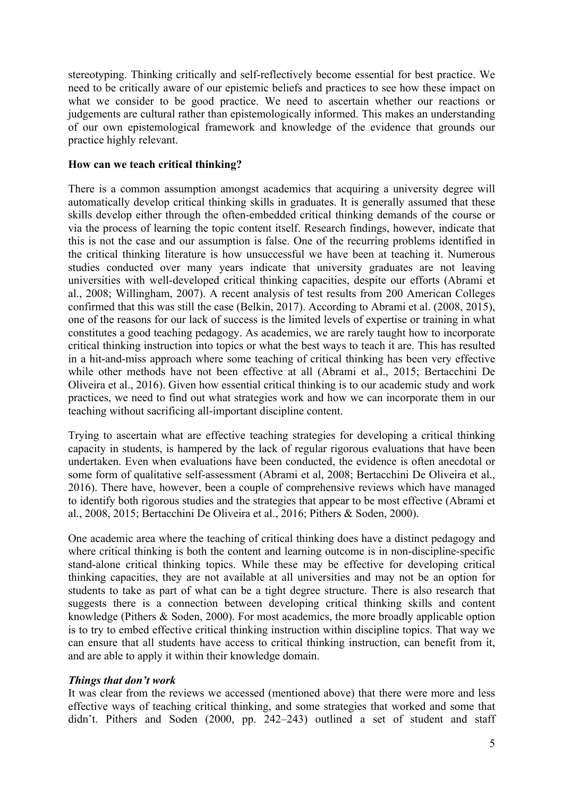stereotyping. Thinking critically and self-reflectively become essential for best practice. We need to be critically aware of our epistemic beliefs and practices to see how these impact on what we consider to be good practice. We need to ascertain whether our reactions or judgements are cultural rather than epistemologically informed. This makes an understanding of our own epistemological framework and knowledge of the evidence that grounds our practice highly relevant.

### **How can we teach critical thinking?**

There is a common assumption amongst academics that acquiring a university degree will automatically develop critical thinking skills in graduates. It is generally assumed that these skills develop either through the often-embedded critical thinking demands of the course or via the process of learning the topic content itself. Research findings, however, indicate that this is not the case and our assumption is false. One of the recurring problems identified in the critical thinking literature is how unsuccessful we have been at teaching it. Numerous studies conducted over many years indicate that university graduates are not leaving universities with well-developed critical thinking capacities, despite our efforts (Abrami et al., 2008; Willingham, 2007). A recent analysis of test results from 200 American Colleges confirmed that this was still the case (Belkin, 2017). According to Abrami et al. (2008, 2015), one of the reasons for our lack of success is the limited levels of expertise or training in what constitutes a good teaching pedagogy. As academics, we are rarely taught how to incorporate critical thinking instruction into topics or what the best ways to teach it are. This has resulted in a hit-and-miss approach where some teaching of critical thinking has been very effective while other methods have not been effective at all (Abrami et al., 2015; Bertacchini De Oliveira et al., 2016). Given how essential critical thinking is to our academic study and work practices, we need to find out what strategies work and how we can incorporate them in our teaching without sacrificing all-important discipline content.

Trying to ascertain what are effective teaching strategies for developing a critical thinking capacity in students, is hampered by the lack of regular rigorous evaluations that have been undertaken. Even when evaluations have been conducted, the evidence is often anecdotal or some form of qualitative self-assessment (Abrami et al, 2008; Bertacchini De Oliveira et al., 2016). There have, however, been a couple of comprehensive reviews which have managed to identify both rigorous studies and the strategies that appear to be most effective (Abrami et al., 2008, 2015; Bertacchini De Oliveira et al., 2016; Pithers & Soden, 2000).

One academic area where the teaching of critical thinking does have a distinct pedagogy and where critical thinking is both the content and learning outcome is in non-discipline-specific stand-alone critical thinking topics. While these may be effective for developing critical thinking capacities, they are not available at all universities and may not be an option for students to take as part of what can be a tight degree structure. There is also research that suggests there is a connection between developing critical thinking skills and content knowledge (Pithers & Soden, 2000). For most academics, the more broadly applicable option is to try to embed effective critical thinking instruction within discipline topics. That way we can ensure that all students have access to critical thinking instruction, can benefit from it, and are able to apply it within their knowledge domain.

#### *Things that don't work*

It was clear from the reviews we accessed (mentioned above) that there were more and less effective ways of teaching critical thinking, and some strategies that worked and some that didn't. Pithers and Soden (2000, pp. 242–243) outlined a set of student and staff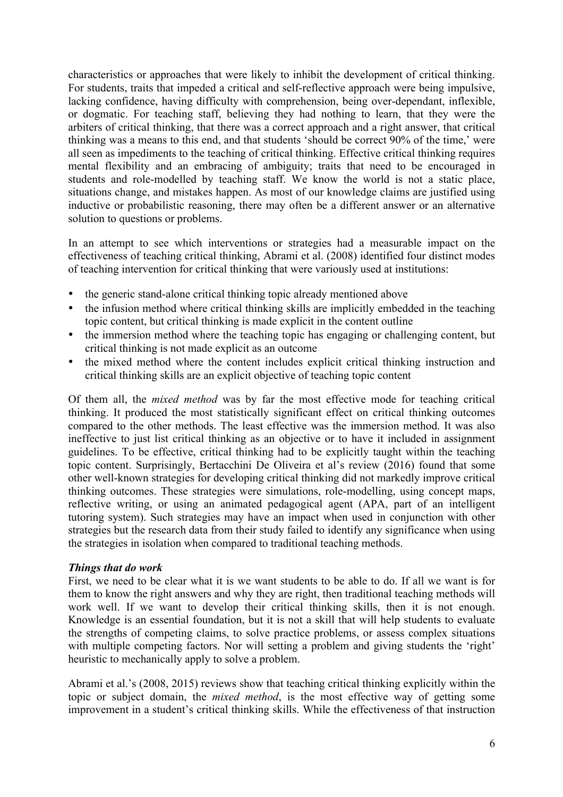characteristics or approaches that were likely to inhibit the development of critical thinking. For students, traits that impeded a critical and self-reflective approach were being impulsive, lacking confidence, having difficulty with comprehension, being over-dependant, inflexible, or dogmatic. For teaching staff, believing they had nothing to learn, that they were the arbiters of critical thinking, that there was a correct approach and a right answer, that critical thinking was a means to this end, and that students 'should be correct 90% of the time,' were all seen as impediments to the teaching of critical thinking. Effective critical thinking requires mental flexibility and an embracing of ambiguity; traits that need to be encouraged in students and role-modelled by teaching staff. We know the world is not a static place, situations change, and mistakes happen. As most of our knowledge claims are justified using inductive or probabilistic reasoning, there may often be a different answer or an alternative solution to questions or problems.

In an attempt to see which interventions or strategies had a measurable impact on the effectiveness of teaching critical thinking, Abrami et al. (2008) identified four distinct modes of teaching intervention for critical thinking that were variously used at institutions:

- the generic stand-alone critical thinking topic already mentioned above
- the infusion method where critical thinking skills are implicitly embedded in the teaching topic content, but critical thinking is made explicit in the content outline
- the immersion method where the teaching topic has engaging or challenging content, but critical thinking is not made explicit as an outcome
- the mixed method where the content includes explicit critical thinking instruction and critical thinking skills are an explicit objective of teaching topic content

Of them all, the *mixed method* was by far the most effective mode for teaching critical thinking. It produced the most statistically significant effect on critical thinking outcomes compared to the other methods. The least effective was the immersion method. It was also ineffective to just list critical thinking as an objective or to have it included in assignment guidelines. To be effective, critical thinking had to be explicitly taught within the teaching topic content. Surprisingly, Bertacchini De Oliveira et al's review (2016) found that some other well-known strategies for developing critical thinking did not markedly improve critical thinking outcomes. These strategies were simulations, role-modelling, using concept maps, reflective writing, or using an animated pedagogical agent (APA, part of an intelligent tutoring system). Such strategies may have an impact when used in conjunction with other strategies but the research data from their study failed to identify any significance when using the strategies in isolation when compared to traditional teaching methods.

#### *Things that do work*

First, we need to be clear what it is we want students to be able to do. If all we want is for them to know the right answers and why they are right, then traditional teaching methods will work well. If we want to develop their critical thinking skills, then it is not enough. Knowledge is an essential foundation, but it is not a skill that will help students to evaluate the strengths of competing claims, to solve practice problems, or assess complex situations with multiple competing factors. Nor will setting a problem and giving students the 'right' heuristic to mechanically apply to solve a problem.

Abrami et al.'s (2008, 2015) reviews show that teaching critical thinking explicitly within the topic or subject domain, the *mixed method*, is the most effective way of getting some improvement in a student's critical thinking skills. While the effectiveness of that instruction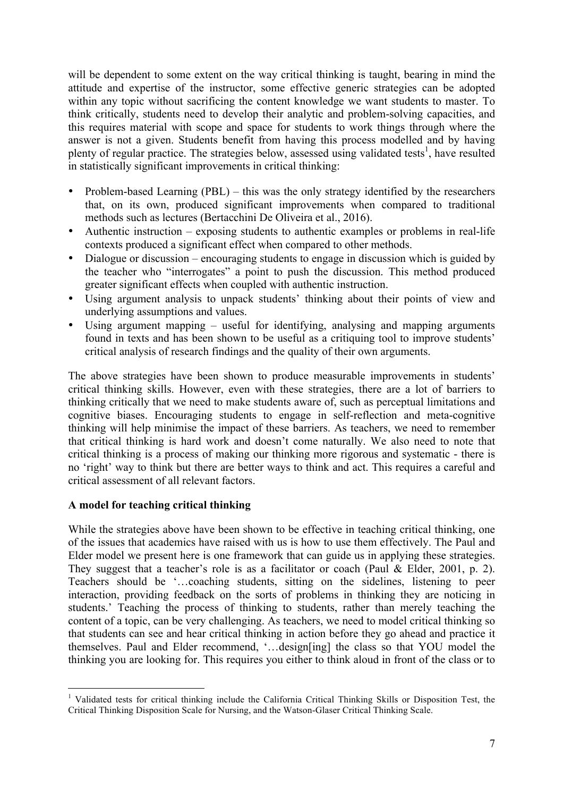will be dependent to some extent on the way critical thinking is taught, bearing in mind the attitude and expertise of the instructor, some effective generic strategies can be adopted within any topic without sacrificing the content knowledge we want students to master. To think critically, students need to develop their analytic and problem-solving capacities, and this requires material with scope and space for students to work things through where the answer is not a given. Students benefit from having this process modelled and by having plenty of regular practice. The strategies below, assessed using validated tests<sup>1</sup>, have resulted in statistically significant improvements in critical thinking:

- Problem-based Learning (PBL) this was the only strategy identified by the researchers that, on its own, produced significant improvements when compared to traditional methods such as lectures (Bertacchini De Oliveira et al., 2016).
- Authentic instruction exposing students to authentic examples or problems in real-life contexts produced a significant effect when compared to other methods.
- Dialogue or discussion encouraging students to engage in discussion which is guided by the teacher who "interrogates" a point to push the discussion. This method produced greater significant effects when coupled with authentic instruction.
- Using argument analysis to unpack students' thinking about their points of view and underlying assumptions and values.
- Using argument mapping useful for identifying, analysing and mapping arguments found in texts and has been shown to be useful as a critiquing tool to improve students' critical analysis of research findings and the quality of their own arguments.

The above strategies have been shown to produce measurable improvements in students' critical thinking skills. However, even with these strategies, there are a lot of barriers to thinking critically that we need to make students aware of, such as perceptual limitations and cognitive biases. Encouraging students to engage in self-reflection and meta-cognitive thinking will help minimise the impact of these barriers. As teachers, we need to remember that critical thinking is hard work and doesn't come naturally. We also need to note that critical thinking is a process of making our thinking more rigorous and systematic - there is no 'right' way to think but there are better ways to think and act. This requires a careful and critical assessment of all relevant factors.

## **A model for teaching critical thinking**

While the strategies above have been shown to be effective in teaching critical thinking, one of the issues that academics have raised with us is how to use them effectively. The Paul and Elder model we present here is one framework that can guide us in applying these strategies. They suggest that a teacher's role is as a facilitator or coach (Paul & Elder, 2001, p. 2). Teachers should be '…coaching students, sitting on the sidelines, listening to peer interaction, providing feedback on the sorts of problems in thinking they are noticing in students.' Teaching the process of thinking to students, rather than merely teaching the content of a topic, can be very challenging. As teachers, we need to model critical thinking so that students can see and hear critical thinking in action before they go ahead and practice it themselves. Paul and Elder recommend, '…design[ing] the class so that YOU model the thinking you are looking for. This requires you either to think aloud in front of the class or to

<sup>&</sup>lt;sup>1</sup> Validated tests for critical thinking include the California Critical Thinking Skills or Disposition Test, the Critical Thinking Disposition Scale for Nursing, and the Watson-Glaser Critical Thinking Scale.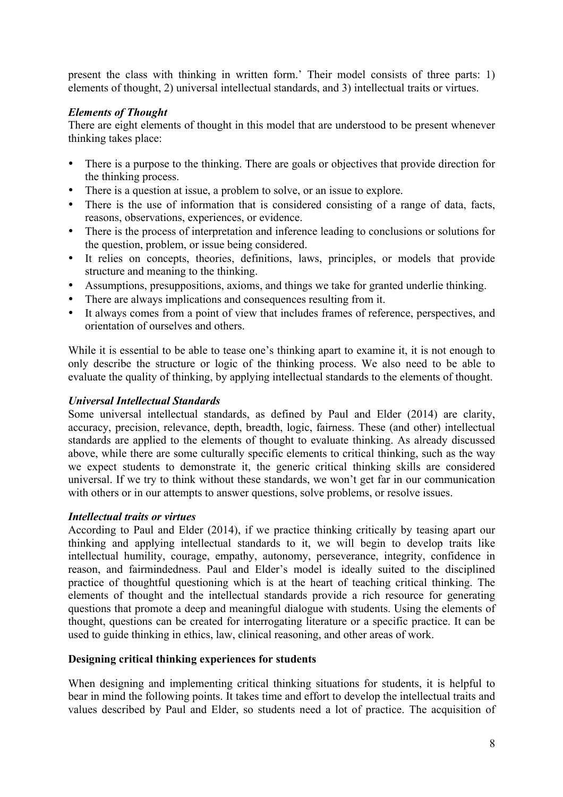present the class with thinking in written form.' Their model consists of three parts: 1) elements of thought, 2) universal intellectual standards, and 3) intellectual traits or virtues.

## *Elements of Thought*

There are eight elements of thought in this model that are understood to be present whenever thinking takes place:

- There is a purpose to the thinking. There are goals or objectives that provide direction for the thinking process.
- There is a question at issue, a problem to solve, or an issue to explore.
- There is the use of information that is considered consisting of a range of data, facts, reasons, observations, experiences, or evidence.
- There is the process of interpretation and inference leading to conclusions or solutions for the question, problem, or issue being considered.
- It relies on concepts, theories, definitions, laws, principles, or models that provide structure and meaning to the thinking.
- Assumptions, presuppositions, axioms, and things we take for granted underlie thinking.
- There are always implications and consequences resulting from it.
- It always comes from a point of view that includes frames of reference, perspectives, and orientation of ourselves and others.

While it is essential to be able to tease one's thinking apart to examine it, it is not enough to only describe the structure or logic of the thinking process. We also need to be able to evaluate the quality of thinking, by applying intellectual standards to the elements of thought.

## *Universal Intellectual Standards*

Some universal intellectual standards, as defined by Paul and Elder (2014) are clarity, accuracy, precision, relevance, depth, breadth, logic, fairness. These (and other) intellectual standards are applied to the elements of thought to evaluate thinking. As already discussed above, while there are some culturally specific elements to critical thinking, such as the way we expect students to demonstrate it, the generic critical thinking skills are considered universal. If we try to think without these standards, we won't get far in our communication with others or in our attempts to answer questions, solve problems, or resolve issues.

#### *Intellectual traits or virtues*

According to Paul and Elder (2014), if we practice thinking critically by teasing apart our thinking and applying intellectual standards to it, we will begin to develop traits like intellectual humility, courage, empathy, autonomy, perseverance, integrity, confidence in reason, and fairmindedness. Paul and Elder's model is ideally suited to the disciplined practice of thoughtful questioning which is at the heart of teaching critical thinking. The elements of thought and the intellectual standards provide a rich resource for generating questions that promote a deep and meaningful dialogue with students. Using the elements of thought, questions can be created for interrogating literature or a specific practice. It can be used to guide thinking in ethics, law, clinical reasoning, and other areas of work.

#### **Designing critical thinking experiences for students**

When designing and implementing critical thinking situations for students, it is helpful to bear in mind the following points. It takes time and effort to develop the intellectual traits and values described by Paul and Elder, so students need a lot of practice. The acquisition of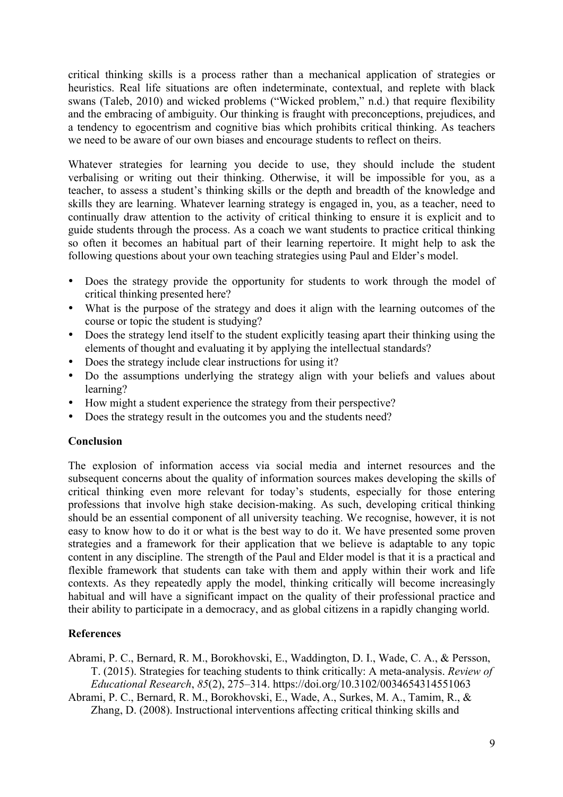critical thinking skills is a process rather than a mechanical application of strategies or heuristics. Real life situations are often indeterminate, contextual, and replete with black swans (Taleb, 2010) and wicked problems ("Wicked problem," n.d.) that require flexibility and the embracing of ambiguity. Our thinking is fraught with preconceptions, prejudices, and a tendency to egocentrism and cognitive bias which prohibits critical thinking. As teachers we need to be aware of our own biases and encourage students to reflect on theirs.

Whatever strategies for learning you decide to use, they should include the student verbalising or writing out their thinking. Otherwise, it will be impossible for you, as a teacher, to assess a student's thinking skills or the depth and breadth of the knowledge and skills they are learning. Whatever learning strategy is engaged in, you, as a teacher, need to continually draw attention to the activity of critical thinking to ensure it is explicit and to guide students through the process. As a coach we want students to practice critical thinking so often it becomes an habitual part of their learning repertoire. It might help to ask the following questions about your own teaching strategies using Paul and Elder's model.

- Does the strategy provide the opportunity for students to work through the model of critical thinking presented here?
- What is the purpose of the strategy and does it align with the learning outcomes of the course or topic the student is studying?
- Does the strategy lend itself to the student explicitly teasing apart their thinking using the elements of thought and evaluating it by applying the intellectual standards?
- Does the strategy include clear instructions for using it?
- Do the assumptions underlying the strategy align with your beliefs and values about learning?
- How might a student experience the strategy from their perspective?
- Does the strategy result in the outcomes you and the students need?

## **Conclusion**

The explosion of information access via social media and internet resources and the subsequent concerns about the quality of information sources makes developing the skills of critical thinking even more relevant for today's students, especially for those entering professions that involve high stake decision-making. As such, developing critical thinking should be an essential component of all university teaching. We recognise, however, it is not easy to know how to do it or what is the best way to do it. We have presented some proven strategies and a framework for their application that we believe is adaptable to any topic content in any discipline. The strength of the Paul and Elder model is that it is a practical and flexible framework that students can take with them and apply within their work and life contexts. As they repeatedly apply the model, thinking critically will become increasingly habitual and will have a significant impact on the quality of their professional practice and their ability to participate in a democracy, and as global citizens in a rapidly changing world.

# **References**

Abrami, P. C., Bernard, R. M., Borokhovski, E., Waddington, D. I., Wade, C. A., & Persson, T. (2015). Strategies for teaching students to think critically: A meta-analysis. *Review of Educational Research*, *85*(2), 275–314. https://doi.org/10.3102/0034654314551063

Abrami, P. C., Bernard, R. M., Borokhovski, E., Wade, A., Surkes, M. A., Tamim, R., & Zhang, D. (2008). Instructional interventions affecting critical thinking skills and